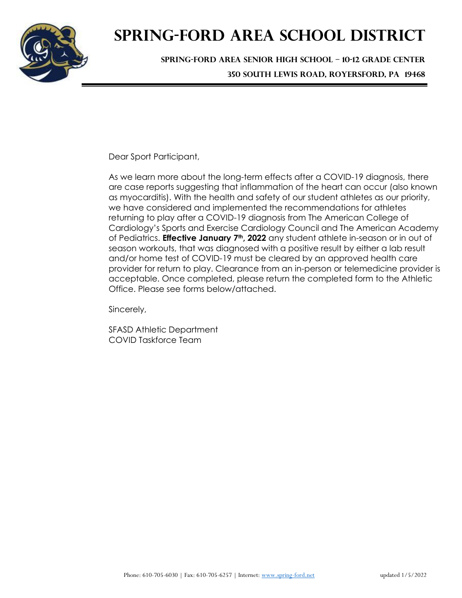

## **SPRING-FORD AREA SCHOOL DISTRICT**

**SPRING-FORD AREA SENIOR HIGH SCHOOL – 10-12 GRADE CENTER 350 SOUTH LEWIS ROAD, ROYERSFORD, PA 19468**

Dear Sport Participant,

As we learn more about the long-term effects after a COVID-19 diagnosis, there are case reports suggesting that inflammation of the heart can occur (also known as myocarditis). With the health and safety of our student athletes as our priority, we have considered and implemented the recommendations for athletes returning to play after a COVID-19 diagnosis from The American College of Cardiology's Sports and Exercise Cardiology Council and The American Academy of Pediatrics. **Effective January 7th, 2022** any student athlete in-season or in out of season workouts, that was diagnosed with a positive result by either a lab result and/or home test of COVID-19 must be cleared by an approved health care provider for return to play. Clearance from an in-person or telemedicine provider is acceptable. Once completed, please return the completed form to the Athletic Office. Please see forms below/attached.

Sincerely,

SFASD Athletic Department COVID Taskforce Team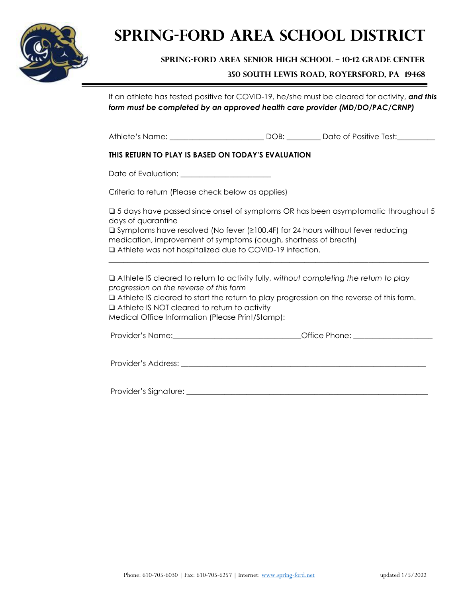

## **SPRING-FORD AREA SCHOOL DISTRICT**

**SPRING-FORD AREA SENIOR HIGH SCHOOL – 10-12 GRADE CENTER**

**350 SOUTH LEWIS ROAD, ROYERSFORD, PA 19468**

If an athlete has tested positive for COVID-19, he/she must be cleared for activity, *and this form must be completed by an approved health care provider (MD/DO/PAC/CRNP)* 

Athlete's Name: \_\_\_\_\_\_\_\_\_\_\_\_\_\_\_\_\_\_\_\_\_\_\_\_\_ DOB: \_\_\_\_\_\_\_\_\_ Date of Positive Test:\_\_\_\_\_\_\_\_\_\_

#### **THIS RETURN TO PLAY IS BASED ON TODAY'S EVALUATION**

Date of Evaluation:

Criteria to return (Please check below as applies)

❑ 5 days have passed since onset of symptoms OR has been asymptomatic throughout 5 days of quarantine

\_\_\_\_\_\_\_\_\_\_\_\_\_\_\_\_\_\_\_\_\_\_\_\_\_\_\_\_\_\_\_\_\_\_\_\_\_\_\_\_\_\_\_\_\_\_\_\_\_\_\_\_\_\_\_\_\_\_\_\_\_\_\_\_\_\_\_\_\_\_\_\_\_\_\_\_\_\_\_\_\_\_\_\_\_

❑ Symptoms have resolved (No fever (≥100.4F) for 24 hours without fever reducing medication, improvement of symptoms (cough, shortness of breath) ❑ Athlete was not hospitalized due to COVID-19 infection.

❑ Athlete IS cleared to return to activity fully, *without completing the return to play progression on the reverse of this form*

❑ Athlete IS cleared to start the return to play progression on the reverse of this form. ❑ Athlete IS NOT cleared to return to activity

Medical Office Information (Please Print/Stamp):

| Office Phone:<br>Provider's Name: |  |
|-----------------------------------|--|
|-----------------------------------|--|

Provider's Address: \_\_\_\_\_\_\_\_\_\_\_\_\_\_\_\_\_\_\_\_\_\_\_\_\_\_\_\_\_\_\_\_\_\_\_\_\_\_\_\_\_\_\_\_\_\_\_\_\_\_\_\_\_\_\_\_\_\_\_\_\_\_\_\_\_

Provider's Signature: \_\_\_\_\_\_\_\_\_\_\_\_\_\_\_\_\_\_\_\_\_\_\_\_\_\_\_\_\_\_\_\_\_\_\_\_\_\_\_\_\_\_\_\_\_\_\_\_\_\_\_\_\_\_\_\_\_\_\_\_\_\_\_\_